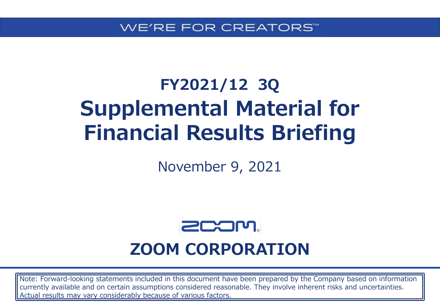# **FY2021/12 3Q Supplemental Material for Financial Results Briefing**

November 9, 2021



## **ZOOM CORPORATION**

Note: Forward-looking statements included in this document have been prepared by the Company based on information currently available and on certain assumptions considered reasonable. They involve inherent risks and uncertainties. Actual results may vary considerably because of various factors.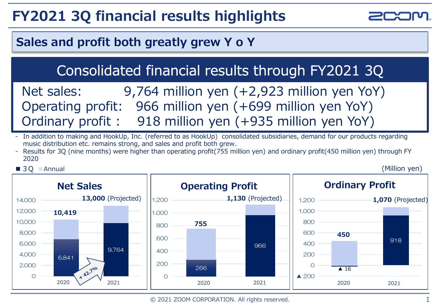## **FY2021 3Q financial results highlights**



### **Sales and profit both greatly grew Y o Y**

## Consolidated financial results through FY2021 3Q

Net sales: 9,764 million yen (+2,923 million yen YoY) Operating profit: 966 million yen (+699 million yen YoY) Ordinary profit : 918 million yen (+935 million yen YoY)

- In addition to making and HookUp, Inc. (referred to as HookUp) consolidated subsidiaries, demand for our products regarding music distribution etc. remains strong, and sales and profit both grew.
- Results for 3Q (nine months) were higher than operating profit(755 million yen) and ordinary profit(450 million yen) through FY 2020

#### ■ 3Q ■ Annual

(Million yen)

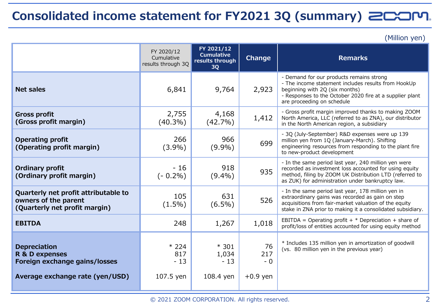### **Consolidated income statement for FY2021 3Q (summary)**

(Million yen)

|                                                                                                           | FY 2020/12<br>Cumulative<br>results through 3Q | FY 2021/12<br><b>Cumulative</b><br>results through<br>3Q | Change                          | <b>Remarks</b>                                                                                                                                                                                                                |
|-----------------------------------------------------------------------------------------------------------|------------------------------------------------|----------------------------------------------------------|---------------------------------|-------------------------------------------------------------------------------------------------------------------------------------------------------------------------------------------------------------------------------|
| <b>Net sales</b>                                                                                          | 6,841                                          | 9,764                                                    | 2,923                           | - Demand for our products remains strong<br>- The income statement includes results from HookUp<br>beginning with 2Q (six months)<br>- Responses to the October 2020 fire at a supplier plant<br>are proceeding on schedule   |
| <b>Gross profit</b><br>(Gross profit margin)                                                              | 2,755<br>$(40.3\%)$                            | 4,168<br>$(42.7\%)$                                      | 1,412                           | - Gross profit margin improved thanks to making ZOOM<br>North America, LLC (referred to as ZNA), our distributor<br>in the North American region, a subsidiary                                                                |
| <b>Operating profit</b><br>(Operating profit margin)                                                      | 266<br>$(3.9\%)$                               | 966<br>$(9.9\%)$                                         | 699                             | - 3Q (July-September) R&D expenses were up 139<br>million yen from 1Q (January-March). Shifting<br>engineering resources from responding to the plant fire<br>to new-product development                                      |
| <b>Ordinary profit</b><br>(Ordinary profit margin)                                                        | $-16$<br>$(-0.2\%)$                            | 918<br>$(9.4\%)$                                         | 935                             | - In the same period last year, 240 million yen were<br>recorded as investment loss accounted for using equity<br>method, filing by ZOOM UK Distribution LTD (referred to<br>as ZUK) for administration under bankruptcy law. |
| Quarterly net profit attributable to<br>owners of the parent<br>(Quarterly net profit margin)             | 105<br>$(1.5\%)$                               | 631<br>$(6.5\%)$                                         | 526                             | - In the same period last year, 178 million yen in<br>extraordinary gains was recorded as gain on step<br>acquisitions from fair-market valuation of the equity<br>stake in ZNA prior to making it a consolidated subsidiary. |
| <b>EBITDA</b>                                                                                             | 248                                            | 1,267                                                    | 1,018                           | EBITDA = Operating profit + $*$ Depreciation + share of<br>profit/loss of entities accounted for using equity method                                                                                                          |
| <b>Depreciation</b><br>R & D expenses<br>Foreign exchange gains/losses<br>Average exchange rate (yen/USD) | $*224$<br>817<br>$-13$<br>107.5 yen            | $*301$<br>1,034<br>$-13$<br>108.4 yen                    | 76<br>217<br>$-0$<br>$+0.9$ yen | * Includes 135 million yen in amortization of goodwill<br>(vs. 80 million yen in the previous year)                                                                                                                           |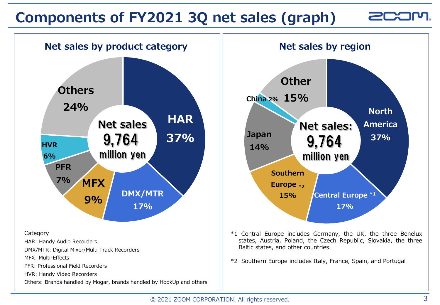## **Components of FY2021 3Q net sales (graph)**

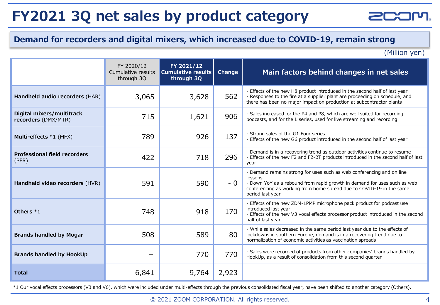## **FY2021 3Q net sales by product category**

#### **Demand for recorders and digital mixers, which increased due to COVID-19, remain strong**

(Million yen)

 $\geq$ r

|                                                  | FY 2020/12<br>Cumulative results<br>through 3Q | FY 2021/12<br><b>Cumulative results</b><br>through 3Q | Change | Main factors behind changes in net sales                                                                                                                                                                                                                 |
|--------------------------------------------------|------------------------------------------------|-------------------------------------------------------|--------|----------------------------------------------------------------------------------------------------------------------------------------------------------------------------------------------------------------------------------------------------------|
| Handheld audio recorders (HAR)                   | 3,065                                          | 3,628                                                 | 562    | - Effects of the new H8 product introduced in the second half of last year<br>- Responses to the fire at a supplier plant are proceeding on schedule, and<br>there has been no major impact on production at subcontractor plants                        |
| Digital mixers/multitrack<br>recorders (DMX/MTR) | 715                                            | 1,621                                                 | 906    | - Sales increased for the P4 and P8, which are well suited for recording<br>podcasts, and for the L series, used for live streaming and recording.                                                                                                       |
| Multi-effects *1 (MFX)                           | 789                                            | 926                                                   | 137    | - Strong sales of the G1 Four series<br>- Effects of the new G6 product introduced in the second half of last year                                                                                                                                       |
| <b>Professional field recorders</b><br>(PFR)     | 422                                            | 718                                                   | 296    | - Demand is in a recovering trend as outdoor activities continue to resume<br>- Effects of the new F2 and F2-BT products introduced in the second half of last<br>year                                                                                   |
| Handheld video recorders (HVR)                   | 591                                            | 590                                                   | - 0    | - Demand remains strong for uses such as web conferencing and on line<br>lessons<br>- Down YoY as a rebound from rapid growth in demand for uses such as web<br>conferencing as working from home spread due to COVID-19 in the same<br>period last year |
| Others $*1$                                      | 748                                            | 918                                                   | 170    | - Effects of the new ZDM-1PMP microphone pack product for podcast use<br>introduced last year<br>- Effects of the new V3 vocal effects processor product introduced in the second<br>half of last year                                                   |
| <b>Brands handled by Mogar</b>                   | 508                                            | 589                                                   | 80     | - While sales decreased in the same period last year due to the effects of<br>lockdowns in southern Europe, demand is in a recovering trend due to<br>normalization of economic activities as vaccination spreads                                        |
| <b>Brands handled by HookUp</b>                  |                                                | 770                                                   | 770    | - Sales were recorded of products from other companies' brands handled by<br>HookUp, as a result of consolidation from this second quarter                                                                                                               |
| <b>Total</b>                                     | 6,841                                          | 9,764                                                 | 2,923  |                                                                                                                                                                                                                                                          |

\*1 Our vocal effects processors (V3 and V6), which were included under multi-effects through the previous consolidated fiscal year, have been shifted to another category (Others).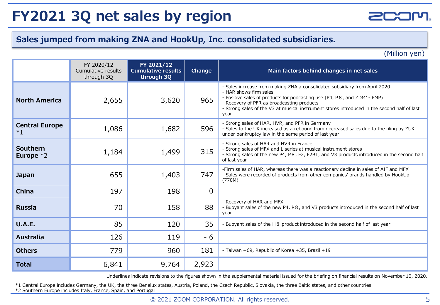## **FY2021 3Q net sales by region**

#### **Sales jumped from making ZNA and HookUp, Inc. consolidated subsidiaries.**

(Million yen)

|                               | FY 2020/12<br>Cumulative results<br>through 3Q | FY 2021/12<br><b>Cumulative results</b><br>through 3Q | Change   | Main factors behind changes in net sales                                                                                                                                                                                                                                                                                             |
|-------------------------------|------------------------------------------------|-------------------------------------------------------|----------|--------------------------------------------------------------------------------------------------------------------------------------------------------------------------------------------------------------------------------------------------------------------------------------------------------------------------------------|
| <b>North America</b>          | <u>2,655</u>                                   | 3,620                                                 | 965      | - Sales increase from making ZNA a consolidated subsidiary from April 2020<br>- HAR shows firm sales.<br>- Positive sales of products for podcasting use (P4, P8, and ZDM1-PMP)<br>- Recovery of PFR as broadcasting products<br>- Strong sales of the V3 at musical instrument stores introduced in the second half of last<br>year |
| <b>Central Europe</b><br>$*1$ | 1,086                                          | 1,682                                                 | 596      | - Strong sales of HAR, HVR, and PFR in Germany<br>- Sales to the UK increased as a rebound from decreased sales due to the filing by ZUK<br>under bankruptcy law in the same period of last year                                                                                                                                     |
| Southern<br>Europe $*2$       | 1,184                                          | 1,499                                                 | 315      | - Strong sales of HAR and HVR in France<br>- Strong sales of MFX and L series at musical instrument stores<br>- Strong sales of the new P4, P8, F2, F2BT, and V3 products introduced in the second half<br>of last year                                                                                                              |
| <b>Japan</b>                  | 655                                            | 1,403                                                 | 747      | -Firm sales of HAR, whereas there was a reactionary decline in sales of AIF and MFX<br>- Sales were recorded of products from other companies' brands handled by HookUp<br>(770M)                                                                                                                                                    |
| <b>China</b>                  | 197                                            | 198                                                   | $\Omega$ |                                                                                                                                                                                                                                                                                                                                      |
| <b>Russia</b>                 | 70                                             | 158                                                   | 88       | - Recovery of HAR and MFX<br>- Buoyant sales of the new P4, P8, and V3 products introduced in the second half of last<br>year                                                                                                                                                                                                        |
| <b>U.A.E.</b>                 | 85                                             | 120                                                   | 35       | - Buoyant sales of the H 8 product introduced in the second half of last year                                                                                                                                                                                                                                                        |
| <b>Australia</b>              | 126                                            | 119                                                   | - 6      |                                                                                                                                                                                                                                                                                                                                      |
| <b>Others</b>                 | 779                                            | 960                                                   | 181      | - Taiwan +69, Republic of Korea +35, Brazil +19                                                                                                                                                                                                                                                                                      |
| <b>Total</b>                  | 6,841                                          | 9,764                                                 | 2,923    |                                                                                                                                                                                                                                                                                                                                      |

Underlines indicate revisions to the figures shown in the supplemental material issued for the briefing on financial results on November 10, 2020.

\*1 Central Europe includes Germany, the UK, the three Benelux states, Austria, Poland, the Czech Republic, Slovakia, the three Baltic states, and other countries.

\*2 Southern Europe includes Italy, France, Spain, and Portugal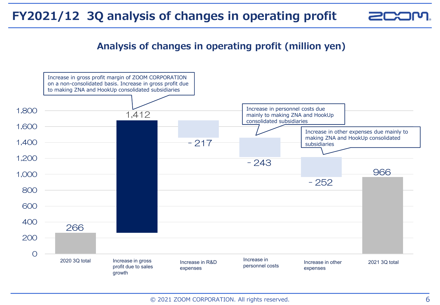### **FY2021/12 3Q analysis of changes in operating profit**

### **Analysis of changes in operating profit (million yen)**

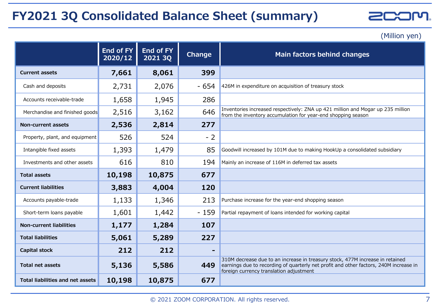### **FY2021 3Q Consolidated Balance Sheet (summary)**

**ZCOM.** 

(Million yen)

|                                         | <b>End of FY</b><br>2020/12 | <b>End of FY</b><br>2021 3Q | Change | Main factors behind changes                                                                                                                                                                                       |
|-----------------------------------------|-----------------------------|-----------------------------|--------|-------------------------------------------------------------------------------------------------------------------------------------------------------------------------------------------------------------------|
| <b>Current assets</b>                   | 7,661                       | 8,061                       | 399    |                                                                                                                                                                                                                   |
| Cash and deposits                       | 2,731                       | 2,076                       | $-654$ | 426M in expenditure on acquisition of treasury stock                                                                                                                                                              |
| Accounts receivable-trade               | 1,658                       | 1,945                       | 286    |                                                                                                                                                                                                                   |
| Merchandise and finished goods          | 2,516                       | 3,162                       | 646    | Inventories increased respectively: ZNA up 421 million and Mogar up 235 million<br>from the inventory accumulation for year-end shopping season                                                                   |
| Non-current assets                      | 2,536                       | 2,814                       | 277    |                                                                                                                                                                                                                   |
| Property, plant, and equipment          | 526                         | 524                         | $-2$   |                                                                                                                                                                                                                   |
| Intangible fixed assets                 | 1,393                       | 1,479                       | 85     | Goodwill increased by 101M due to making HookUp a consolidated subsidiary                                                                                                                                         |
| Investments and other assets            | 616                         | 810                         | 194    | Mainly an increase of 116M in deferred tax assets                                                                                                                                                                 |
| <b>Total assets</b>                     | 10,198                      | 10,875                      | 677    |                                                                                                                                                                                                                   |
| <b>Current liabilities</b>              | 3,883                       | 4,004                       | 120    |                                                                                                                                                                                                                   |
| Accounts payable-trade                  | 1,133                       | 1,346                       | 213    | Purchase increase for the year-end shopping season                                                                                                                                                                |
| Short-term loans payable                | 1,601                       | 1,442                       | $-159$ | Partial repayment of loans intended for working capital                                                                                                                                                           |
| <b>Non-current liabilities</b>          | 1,177                       | 1,284                       | 107    |                                                                                                                                                                                                                   |
| <b>Total liabilities</b>                | 5,061                       | 5,289                       | 227    |                                                                                                                                                                                                                   |
| <b>Capital stock</b>                    | 212                         | 212                         |        |                                                                                                                                                                                                                   |
| <b>Total net assets</b>                 | 5,136                       | 5,586                       | 449    | 310M decrease due to an increase in treasury stock, 477M increase in retained<br>earnings due to recording of quarterly net profit and other factors, 240M increase in<br>foreign currency translation adjustment |
| <b>Total liabilities and net assets</b> | 10,198                      | 10,875                      | 677    |                                                                                                                                                                                                                   |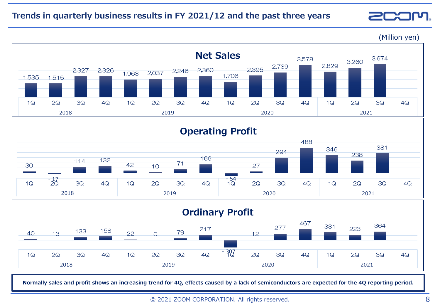#### **Trends in quarterly business results in FY 2021/12 and the past three years**



**Normally sales and profit shows an increasing trend for 4Q, effects caused by a lack of semiconductors are expected for the 4Q reporting period.**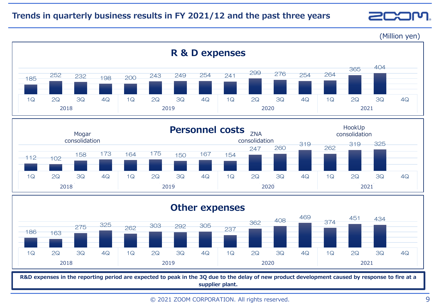#### **Trends in quarterly business results in FY 2021/12 and the past three years**

 $\geq$ r

(Million yen)





**R&D expenses in the reporting period are expected to peak in the 3Q due to the delay of new product development caused by response to fire at a supplier plant.**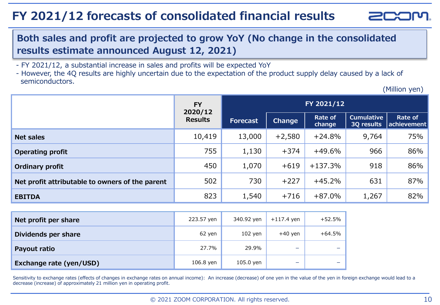### **FY 2021/12 forecasts of consolidated financial results**



### **Both sales and profit are projected to grow YoY (No change in the consolidated results estimate announced August 12, 2021)**

- FY 2021/12, a substantial increase in sales and profits will be expected YoY

- However, the 4Q results are highly uncertain due to the expectation of the product supply delay caused by a lack of semiconductors.

(Million yen)

|                                                 | <b>FY</b><br>2020/12<br><b>Results</b> |          |               | FY 2021/12        |                                 |                        |
|-------------------------------------------------|----------------------------------------|----------|---------------|-------------------|---------------------------------|------------------------|
|                                                 |                                        | Forecast | <b>Change</b> | Rate of<br>change | <b>Cumulative</b><br>3Q results | Rate of<br>achievement |
| <b>Net sales</b>                                | 10,419                                 | 13,000   | $+2,580$      | $+24.8%$          | 9,764                           | 75%                    |
| <b>Operating profit</b>                         | 755                                    | 1,130    | $+374$        | $+49.6%$          | 966                             | 86%                    |
| <b>Ordinary profit</b>                          | 450                                    | 1,070    | $+619$        | $+137.3%$         | 918                             | 86%                    |
| Net profit attributable to owners of the parent | 502                                    | 730      | $+227$        | $+45.2%$          | 631                             | 87%                    |
| <b>EBITDA</b>                                   | 823                                    | 1,540    | $+716$        | $+87.0%$          | 1,267                           | 82%                    |

| Net profit per share           | 223.57 yen | 340.92 yen | $+117.4$ yen             | +52.5%   |
|--------------------------------|------------|------------|--------------------------|----------|
| Dividends per share            | 62 yen     | $102$ yen  | $+40$ yen                | $+64.5%$ |
| Payout ratio                   | 27.7%      | 29.9%      | $\overline{\phantom{a}}$ | -        |
| <b>Exchange rate (yen/USD)</b> | 106.8 yen  | 105.0 yen  | -                        | -        |

Sensitivity to exchange rates (effects of changes in exchange rates on annual income): An increase (decrease) of one yen in the value of the yen in foreign exchange would lead to a decrease (increase) of approximately 21 million yen in operating profit.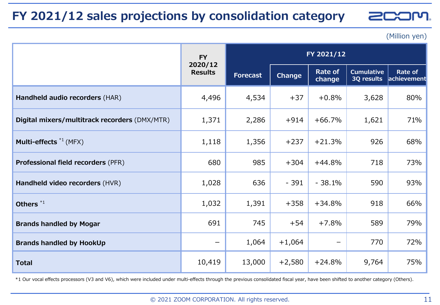### **FY 2021/12 sales projections by consolidation category**

**EXOME**  $\geq$ r

(Million yen)

|                                               | <b>FY</b>                 | FY 2021/12      |               |                          |                                 |                        |  |
|-----------------------------------------------|---------------------------|-----------------|---------------|--------------------------|---------------------------------|------------------------|--|
|                                               | 2020/12<br><b>Results</b> | <b>Forecast</b> | <b>Change</b> | <b>Rate of</b><br>change | <b>Cumulative</b><br>3Q results | Rate of<br>achievement |  |
| Handheld audio recorders (HAR)                | 4,496                     | 4,534           | $+37$         | $+0.8%$                  | 3,628                           | 80%                    |  |
| Digital mixers/multitrack recorders (DMX/MTR) | 1,371                     | 2,286           | $+914$        | $+66.7%$                 | 1,621                           | 71%                    |  |
| Multi-effects $*1$ (MFX)                      | 1,118                     | 1,356           | $+237$        | $+21.3%$                 | 926                             | 68%                    |  |
| <b>Professional field recorders (PFR)</b>     | 680                       | 985             | $+304$        | $+44.8%$                 | 718                             | 73%                    |  |
| Handheld video recorders (HVR)                | 1,028                     | 636             | $-391$        | $-38.1%$                 | 590                             | 93%                    |  |
| Others <sup>*1</sup>                          | 1,032                     | 1,391           | $+358$        | $+34.8%$                 | 918                             | 66%                    |  |
| <b>Brands handled by Mogar</b>                | 691                       | 745             | $+54$         | $+7.8%$                  | 589                             | 79%                    |  |
| <b>Brands handled by HookUp</b>               |                           | 1,064           | $+1,064$      |                          | 770                             | 72%                    |  |
| <b>Total</b>                                  | 10,419                    | 13,000          | $+2,580$      | $+24.8%$                 | 9,764                           | 75%                    |  |

\*1 Our vocal effects processors (V3 and V6), which were included under multi-effects through the previous consolidated fiscal year, have been shifted to another category (Others).